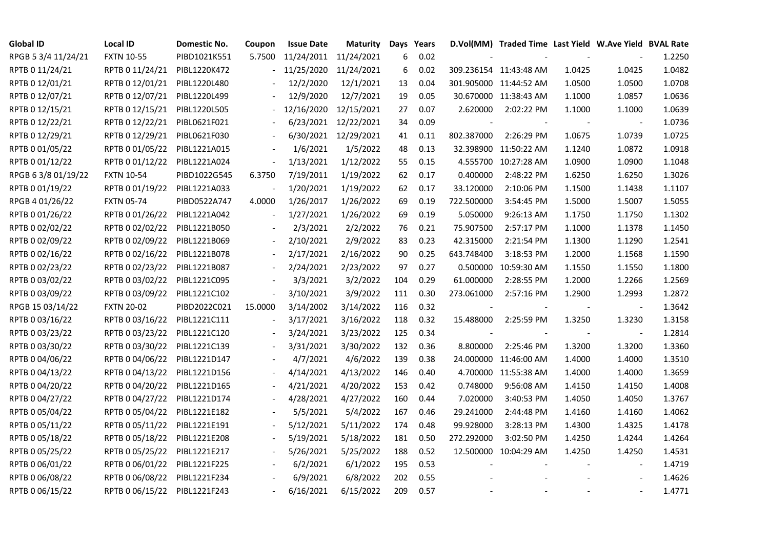| <b>Global ID</b>    | <b>Local ID</b>              | Domestic No. | Coupon                   | <b>Issue Date</b>     | <b>Maturity</b>      |     | Days Years |            | D.Vol(MM) Traded Time Last Yield W.Ave Yield BVAL Rate |        |                          |        |
|---------------------|------------------------------|--------------|--------------------------|-----------------------|----------------------|-----|------------|------------|--------------------------------------------------------|--------|--------------------------|--------|
| RPGB 5 3/4 11/24/21 | <b>FXTN 10-55</b>            | PIBD1021K551 | 5.7500                   | 11/24/2011 11/24/2021 |                      | 6   | 0.02       |            |                                                        |        |                          | 1.2250 |
| RPTB 0 11/24/21     | RPTB 0 11/24/21              | PIBL1220K472 |                          | 11/25/2020            | 11/24/2021           | 6   | 0.02       |            | 309.236154 11:43:48 AM                                 | 1.0425 | 1.0425                   | 1.0482 |
| RPTB 0 12/01/21     | RPTB 0 12/01/21              | PIBL1220L480 |                          | 12/2/2020             | 12/1/2021            | 13  | 0.04       |            | 301.905000 11:44:52 AM                                 | 1.0500 | 1.0500                   | 1.0708 |
| RPTB 0 12/07/21     | RPTB 0 12/07/21              | PIBL1220L499 |                          | 12/9/2020             | 12/7/2021            | 19  | 0.05       |            | 30.670000 11:38:43 AM                                  | 1.1000 | 1.0857                   | 1.0636 |
| RPTB 0 12/15/21     | RPTB 0 12/15/21              | PIBL1220L505 |                          | 12/16/2020            | 12/15/2021           | 27  | 0.07       | 2.620000   | 2:02:22 PM                                             | 1.1000 | 1.1000                   | 1.0639 |
| RPTB 0 12/22/21     | RPTB 0 12/22/21              | PIBL0621F021 |                          |                       | 6/23/2021 12/22/2021 | 34  | 0.09       |            |                                                        |        |                          | 1.0736 |
| RPTB 0 12/29/21     | RPTB 0 12/29/21              | PIBL0621F030 |                          |                       | 6/30/2021 12/29/2021 | 41  | 0.11       | 802.387000 | 2:26:29 PM                                             | 1.0675 | 1.0739                   | 1.0725 |
| RPTB 0 01/05/22     | RPTB 0 01/05/22              | PIBL1221A015 |                          | 1/6/2021              | 1/5/2022             | 48  | 0.13       |            | 32.398900 11:50:22 AM                                  | 1.1240 | 1.0872                   | 1.0918 |
| RPTB 0 01/12/22     | RPTB 0 01/12/22              | PIBL1221A024 |                          | 1/13/2021             | 1/12/2022            | 55  | 0.15       |            | 4.555700 10:27:28 AM                                   | 1.0900 | 1.0900                   | 1.1048 |
| RPGB 63/8 01/19/22  | <b>FXTN 10-54</b>            | PIBD1022G545 | 6.3750                   | 7/19/2011             | 1/19/2022            | 62  | 0.17       | 0.400000   | 2:48:22 PM                                             | 1.6250 | 1.6250                   | 1.3026 |
| RPTB 0 01/19/22     | RPTB 0 01/19/22              | PIBL1221A033 |                          | 1/20/2021             | 1/19/2022            | 62  | 0.17       | 33.120000  | 2:10:06 PM                                             | 1.1500 | 1.1438                   | 1.1107 |
| RPGB 4 01/26/22     | <b>FXTN 05-74</b>            | PIBD0522A747 | 4.0000                   | 1/26/2017             | 1/26/2022            | 69  | 0.19       | 722.500000 | 3:54:45 PM                                             | 1.5000 | 1.5007                   | 1.5055 |
| RPTB 0 01/26/22     | RPTB 0 01/26/22              | PIBL1221A042 |                          | 1/27/2021             | 1/26/2022            | 69  | 0.19       | 5.050000   | 9:26:13 AM                                             | 1.1750 | 1.1750                   | 1.1302 |
| RPTB 0 02/02/22     | RPTB 0 02/02/22              | PIBL1221B050 |                          | 2/3/2021              | 2/2/2022             | 76  | 0.21       | 75.907500  | 2:57:17 PM                                             | 1.1000 | 1.1378                   | 1.1450 |
| RPTB 0 02/09/22     | RPTB 0 02/09/22              | PIBL1221B069 |                          | 2/10/2021             | 2/9/2022             | 83  | 0.23       | 42.315000  | 2:21:54 PM                                             | 1.1300 | 1.1290                   | 1.2541 |
| RPTB 0 02/16/22     | RPTB 0 02/16/22              | PIBL1221B078 |                          | 2/17/2021             | 2/16/2022            | 90  | 0.25       | 643.748400 | 3:18:53 PM                                             | 1.2000 | 1.1568                   | 1.1590 |
| RPTB 0 02/23/22     | RPTB 0 02/23/22              | PIBL1221B087 |                          | 2/24/2021             | 2/23/2022            | 97  | 0.27       |            | 0.500000 10:59:30 AM                                   | 1.1550 | 1.1550                   | 1.1800 |
| RPTB 0 03/02/22     | RPTB 0 03/02/22              | PIBL1221C095 |                          | 3/3/2021              | 3/2/2022             | 104 | 0.29       | 61.000000  | 2:28:55 PM                                             | 1.2000 | 1.2266                   | 1.2569 |
| RPTB 0 03/09/22     | RPTB 0 03/09/22              | PIBL1221C102 | $\overline{\phantom{a}}$ | 3/10/2021             | 3/9/2022             | 111 | 0.30       | 273.061000 | 2:57:16 PM                                             | 1.2900 | 1.2993                   | 1.2872 |
| RPGB 15 03/14/22    | <b>FXTN 20-02</b>            | PIBD2022C021 | 15.0000                  | 3/14/2002             | 3/14/2022            | 116 | 0.32       |            |                                                        |        | $\overline{\phantom{a}}$ | 1.3642 |
| RPTB 0 03/16/22     | RPTB 0 03/16/22              | PIBL1221C111 |                          | 3/17/2021             | 3/16/2022            | 118 | 0.32       | 15.488000  | 2:25:59 PM                                             | 1.3250 | 1.3230                   | 1.3158 |
| RPTB 0 03/23/22     | RPTB 0 03/23/22              | PIBL1221C120 |                          | 3/24/2021             | 3/23/2022            | 125 | 0.34       |            |                                                        |        | $\blacksquare$           | 1.2814 |
| RPTB 0 03/30/22     | RPTB 0 03/30/22              | PIBL1221C139 |                          | 3/31/2021             | 3/30/2022            | 132 | 0.36       | 8.800000   | 2:25:46 PM                                             | 1.3200 | 1.3200                   | 1.3360 |
| RPTB 0 04/06/22     | RPTB 0 04/06/22              | PIBL1221D147 |                          | 4/7/2021              | 4/6/2022             | 139 | 0.38       |            | 24.000000 11:46:00 AM                                  | 1.4000 | 1.4000                   | 1.3510 |
| RPTB 0 04/13/22     | RPTB 0 04/13/22              | PIBL1221D156 |                          | 4/14/2021             | 4/13/2022            | 146 | 0.40       |            | 4.700000 11:55:38 AM                                   | 1.4000 | 1.4000                   | 1.3659 |
| RPTB 0 04/20/22     | RPTB 0 04/20/22              | PIBL1221D165 |                          | 4/21/2021             | 4/20/2022            | 153 | 0.42       | 0.748000   | 9:56:08 AM                                             | 1.4150 | 1.4150                   | 1.4008 |
| RPTB 0 04/27/22     | RPTB 0 04/27/22              | PIBL1221D174 |                          | 4/28/2021             | 4/27/2022            | 160 | 0.44       | 7.020000   | 3:40:53 PM                                             | 1.4050 | 1.4050                   | 1.3767 |
| RPTB 0 05/04/22     | RPTB 0 05/04/22              | PIBL1221E182 |                          | 5/5/2021              | 5/4/2022             | 167 | 0.46       | 29.241000  | 2:44:48 PM                                             | 1.4160 | 1.4160                   | 1.4062 |
| RPTB 0 05/11/22     | RPTB 0 05/11/22              | PIBL1221E191 |                          | 5/12/2021             | 5/11/2022            | 174 | 0.48       | 99.928000  | 3:28:13 PM                                             | 1.4300 | 1.4325                   | 1.4178 |
| RPTB 0 05/18/22     | RPTB 0 05/18/22              | PIBL1221E208 |                          | 5/19/2021             | 5/18/2022            | 181 | 0.50       | 272.292000 | 3:02:50 PM                                             | 1.4250 | 1.4244                   | 1.4264 |
| RPTB 0 05/25/22     | RPTB 0 05/25/22              | PIBL1221E217 |                          | 5/26/2021             | 5/25/2022            | 188 | 0.52       |            | 12.500000 10:04:29 AM                                  | 1.4250 | 1.4250                   | 1.4531 |
| RPTB 0 06/01/22     | RPTB 0 06/01/22              | PIBL1221F225 |                          | 6/2/2021              | 6/1/2022             | 195 | 0.53       |            |                                                        |        | $\overline{\phantom{a}}$ | 1.4719 |
| RPTB 0 06/08/22     | RPTB 0 06/08/22              | PIBL1221F234 |                          | 6/9/2021              | 6/8/2022             | 202 | 0.55       |            |                                                        |        |                          | 1.4626 |
| RPTB 0 06/15/22     | RPTB 0 06/15/22 PIBL1221F243 |              |                          | 6/16/2021             | 6/15/2022            | 209 | 0.57       |            |                                                        |        | $\blacksquare$           | 1.4771 |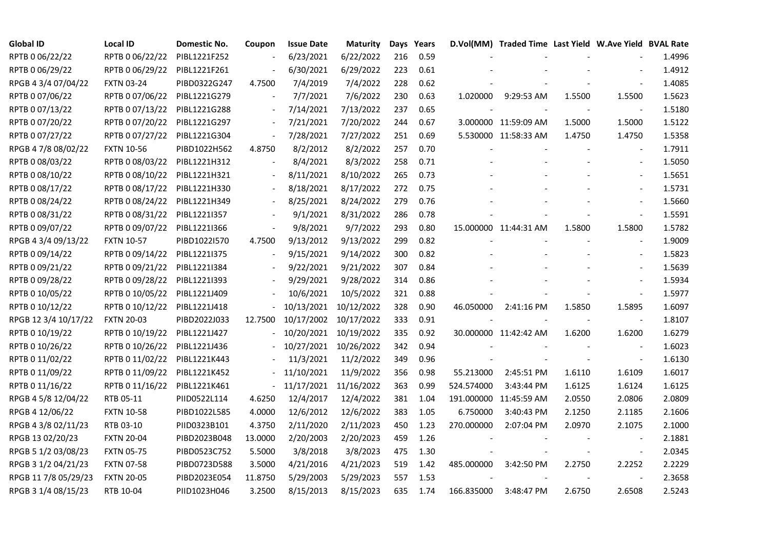| <b>Global ID</b>     | <b>Local ID</b>   | Domestic No. | Coupon                   | <b>Issue Date</b> | Maturity   |     | Days Years |            | D.Vol(MM) Traded Time Last Yield W.Ave Yield BVAL Rate |        |                          |        |
|----------------------|-------------------|--------------|--------------------------|-------------------|------------|-----|------------|------------|--------------------------------------------------------|--------|--------------------------|--------|
| RPTB 0 06/22/22      | RPTB 0 06/22/22   | PIBL1221F252 | $\overline{\phantom{a}}$ | 6/23/2021         | 6/22/2022  | 216 | 0.59       |            |                                                        |        |                          | 1.4996 |
| RPTB 0 06/29/22      | RPTB 0 06/29/22   | PIBL1221F261 |                          | 6/30/2021         | 6/29/2022  | 223 | 0.61       |            |                                                        |        |                          | 1.4912 |
| RPGB 4 3/4 07/04/22  | <b>FXTN 03-24</b> | PIBD0322G247 | 4.7500                   | 7/4/2019          | 7/4/2022   | 228 | 0.62       |            |                                                        |        | $\overline{\phantom{a}}$ | 1.4085 |
| RPTB 0 07/06/22      | RPTB 0 07/06/22   | PIBL1221G279 | $\overline{\phantom{a}}$ | 7/7/2021          | 7/6/2022   | 230 | 0.63       |            | 1.020000 9:29:53 AM                                    | 1.5500 | 1.5500                   | 1.5623 |
| RPTB 0 07/13/22      | RPTB 0 07/13/22   | PIBL1221G288 | $\blacksquare$           | 7/14/2021         | 7/13/2022  | 237 | 0.65       |            |                                                        |        |                          | 1.5180 |
| RPTB 0 07/20/22      | RPTB 0 07/20/22   | PIBL1221G297 | $\overline{\phantom{a}}$ | 7/21/2021         | 7/20/2022  | 244 | 0.67       |            | 3.000000 11:59:09 AM                                   | 1.5000 | 1.5000                   | 1.5122 |
| RPTB 0 07/27/22      | RPTB 0 07/27/22   | PIBL1221G304 | $\blacksquare$           | 7/28/2021         | 7/27/2022  | 251 | 0.69       |            | 5.530000 11:58:33 AM                                   | 1.4750 | 1.4750                   | 1.5358 |
| RPGB 4 7/8 08/02/22  | <b>FXTN 10-56</b> | PIBD1022H562 | 4.8750                   | 8/2/2012          | 8/2/2022   | 257 | 0.70       |            |                                                        |        |                          | 1.7911 |
| RPTB 0 08/03/22      | RPTB 0 08/03/22   | PIBL1221H312 |                          | 8/4/2021          | 8/3/2022   | 258 | 0.71       |            |                                                        |        |                          | 1.5050 |
| RPTB 0 08/10/22      | RPTB 0 08/10/22   | PIBL1221H321 | $\overline{\phantom{a}}$ | 8/11/2021         | 8/10/2022  | 265 | 0.73       |            |                                                        |        | $\overline{\phantom{a}}$ | 1.5651 |
| RPTB 0 08/17/22      | RPTB 0 08/17/22   | PIBL1221H330 | $\overline{\phantom{a}}$ | 8/18/2021         | 8/17/2022  | 272 | 0.75       |            |                                                        |        | $\blacksquare$           | 1.5731 |
| RPTB 0 08/24/22      | RPTB 0 08/24/22   | PIBL1221H349 | $\overline{\phantom{a}}$ | 8/25/2021         | 8/24/2022  | 279 | 0.76       |            |                                                        |        |                          | 1.5660 |
| RPTB 0 08/31/22      | RPTB 0 08/31/22   | PIBL1221I357 |                          | 9/1/2021          | 8/31/2022  | 286 | 0.78       |            |                                                        |        |                          | 1.5591 |
| RPTB 0 09/07/22      | RPTB 0 09/07/22   | PIBL1221I366 | $\overline{\phantom{a}}$ | 9/8/2021          | 9/7/2022   | 293 | 0.80       |            | 15.000000 11:44:31 AM                                  | 1.5800 | 1.5800                   | 1.5782 |
| RPGB 4 3/4 09/13/22  | <b>FXTN 10-57</b> | PIBD1022I570 | 4.7500                   | 9/13/2012         | 9/13/2022  | 299 | 0.82       |            |                                                        |        |                          | 1.9009 |
| RPTB 0 09/14/22      | RPTB 0 09/14/22   | PIBL1221I375 |                          | 9/15/2021         | 9/14/2022  | 300 | 0.82       |            |                                                        |        |                          | 1.5823 |
| RPTB 0 09/21/22      | RPTB 0 09/21/22   | PIBL1221I384 |                          | 9/22/2021         | 9/21/2022  | 307 | 0.84       |            |                                                        |        |                          | 1.5639 |
| RPTB 0 09/28/22      | RPTB 0 09/28/22   | PIBL1221I393 | $\overline{\phantom{a}}$ | 9/29/2021         | 9/28/2022  | 314 | 0.86       |            |                                                        |        |                          | 1.5934 |
| RPTB 0 10/05/22      | RPTB 0 10/05/22   | PIBL1221J409 |                          | 10/6/2021         | 10/5/2022  | 321 | 0.88       |            |                                                        |        | $\frac{1}{2}$            | 1.5977 |
| RPTB 0 10/12/22      | RPTB 0 10/12/22   | PIBL1221J418 |                          | 10/13/2021        | 10/12/2022 | 328 | 0.90       | 46.050000  | 2:41:16 PM                                             | 1.5850 | 1.5895                   | 1.6097 |
| RPGB 12 3/4 10/17/22 | <b>FXTN 20-03</b> | PIBD2022J033 | 12.7500                  | 10/17/2002        | 10/17/2022 | 333 | 0.91       |            |                                                        |        | $\blacksquare$           | 1.8107 |
| RPTB 0 10/19/22      | RPTB 0 10/19/22   | PIBL1221J427 |                          | 10/20/2021        | 10/19/2022 | 335 | 0.92       |            | 30.000000 11:42:42 AM                                  | 1.6200 | 1.6200                   | 1.6279 |
| RPTB 0 10/26/22      | RPTB 0 10/26/22   | PIBL1221J436 |                          | 10/27/2021        | 10/26/2022 | 342 | 0.94       |            |                                                        |        |                          | 1.6023 |
| RPTB 0 11/02/22      | RPTB 0 11/02/22   | PIBL1221K443 |                          | 11/3/2021         | 11/2/2022  | 349 | 0.96       |            |                                                        |        |                          | 1.6130 |
| RPTB 0 11/09/22      | RPTB 0 11/09/22   | PIBL1221K452 | $\overline{\phantom{a}}$ | 11/10/2021        | 11/9/2022  | 356 | 0.98       | 55.213000  | 2:45:51 PM                                             | 1.6110 | 1.6109                   | 1.6017 |
| RPTB 0 11/16/22      | RPTB 0 11/16/22   | PIBL1221K461 | $\sim$                   | 11/17/2021        | 11/16/2022 | 363 | 0.99       | 524.574000 | 3:43:44 PM                                             | 1.6125 | 1.6124                   | 1.6125 |
| RPGB 4 5/8 12/04/22  | RTB 05-11         | PIID0522L114 | 4.6250                   | 12/4/2017         | 12/4/2022  | 381 | 1.04       |            | 191.000000 11:45:59 AM                                 | 2.0550 | 2.0806                   | 2.0809 |
| RPGB 4 12/06/22      | <b>FXTN 10-58</b> | PIBD1022L585 | 4.0000                   | 12/6/2012         | 12/6/2022  | 383 | 1.05       | 6.750000   | 3:40:43 PM                                             | 2.1250 | 2.1185                   | 2.1606 |
| RPGB 4 3/8 02/11/23  | RTB 03-10         | PIID0323B101 | 4.3750                   | 2/11/2020         | 2/11/2023  | 450 | 1.23       | 270.000000 | 2:07:04 PM                                             | 2.0970 | 2.1075                   | 2.1000 |
| RPGB 13 02/20/23     | <b>FXTN 20-04</b> | PIBD2023B048 | 13.0000                  | 2/20/2003         | 2/20/2023  | 459 | 1.26       |            |                                                        |        |                          | 2.1881 |
| RPGB 5 1/2 03/08/23  | <b>FXTN 05-75</b> | PIBD0523C752 | 5.5000                   | 3/8/2018          | 3/8/2023   | 475 | 1.30       |            |                                                        |        | $\blacksquare$           | 2.0345 |
| RPGB 3 1/2 04/21/23  | <b>FXTN 07-58</b> | PIBD0723D588 | 3.5000                   | 4/21/2016         | 4/21/2023  | 519 | 1.42       | 485.000000 | 3:42:50 PM                                             | 2.2750 | 2.2252                   | 2.2229 |
| RPGB 11 7/8 05/29/23 | <b>FXTN 20-05</b> | PIBD2023E054 | 11.8750                  | 5/29/2003         | 5/29/2023  | 557 | 1.53       |            |                                                        |        |                          | 2.3658 |
| RPGB 3 1/4 08/15/23  | RTB 10-04         | PIID1023H046 | 3.2500                   | 8/15/2013         | 8/15/2023  | 635 | 1.74       | 166.835000 | 3:48:47 PM                                             | 2.6750 | 2.6508                   | 2.5243 |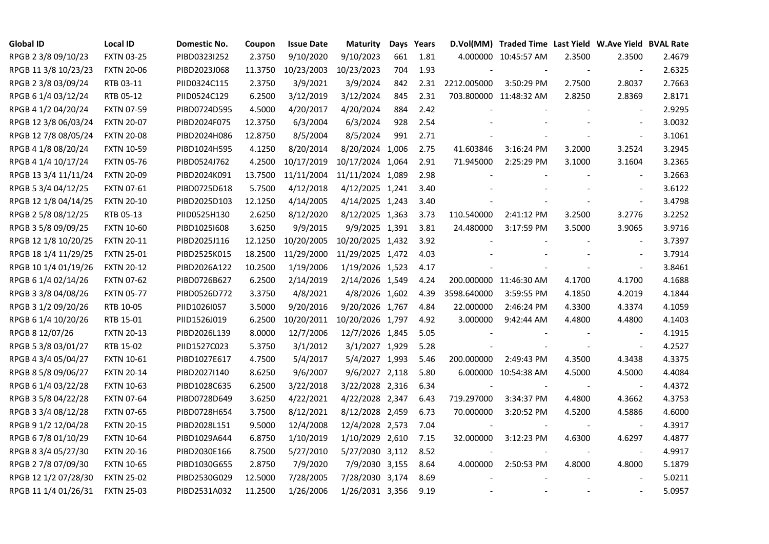| <b>Global ID</b>     | <b>Local ID</b>   | Domestic No. | Coupon  | <b>Issue Date</b> | <b>Maturity</b>  |     | Days Years |             | D.Vol(MM) Traded Time Last Yield W.Ave Yield BVAL Rate |        |                          |        |
|----------------------|-------------------|--------------|---------|-------------------|------------------|-----|------------|-------------|--------------------------------------------------------|--------|--------------------------|--------|
| RPGB 2 3/8 09/10/23  | <b>FXTN 03-25</b> | PIBD0323I252 | 2.3750  | 9/10/2020         | 9/10/2023        | 661 | 1.81       |             | 4.000000 10:45:57 AM                                   | 2.3500 | 2.3500                   | 2.4679 |
| RPGB 11 3/8 10/23/23 | <b>FXTN 20-06</b> | PIBD2023J068 | 11.3750 | 10/23/2003        | 10/23/2023       | 704 | 1.93       |             |                                                        |        | $\sim$                   | 2.6325 |
| RPGB 2 3/8 03/09/24  | RTB 03-11         | PIID0324C115 | 2.3750  | 3/9/2021          | 3/9/2024         | 842 | 2.31       | 2212.005000 | 3:50:29 PM                                             | 2.7500 | 2.8037                   | 2.7663 |
| RPGB 6 1/4 03/12/24  | RTB 05-12         | PIID0524C129 | 6.2500  | 3/12/2019         | 3/12/2024        | 845 | 2.31       |             | 703.800000 11:48:32 AM                                 | 2.8250 | 2.8369                   | 2.8171 |
| RPGB 4 1/2 04/20/24  | <b>FXTN 07-59</b> | PIBD0724D595 | 4.5000  | 4/20/2017         | 4/20/2024        | 884 | 2.42       |             |                                                        |        | $\overline{\phantom{a}}$ | 2.9295 |
| RPGB 12 3/8 06/03/24 | <b>FXTN 20-07</b> | PIBD2024F075 | 12.3750 | 6/3/2004          | 6/3/2024         | 928 | 2.54       |             |                                                        |        | $\blacksquare$           | 3.0032 |
| RPGB 12 7/8 08/05/24 | <b>FXTN 20-08</b> | PIBD2024H086 | 12.8750 | 8/5/2004          | 8/5/2024         | 991 | 2.71       |             |                                                        |        | $\blacksquare$           | 3.1061 |
| RPGB 4 1/8 08/20/24  | <b>FXTN 10-59</b> | PIBD1024H595 | 4.1250  | 8/20/2014         | 8/20/2024 1,006  |     | 2.75       | 41.603846   | 3:16:24 PM                                             | 3.2000 | 3.2524                   | 3.2945 |
| RPGB 4 1/4 10/17/24  | <b>FXTN 05-76</b> | PIBD0524J762 | 4.2500  | 10/17/2019        | 10/17/2024 1,064 |     | 2.91       | 71.945000   | 2:25:29 PM                                             | 3.1000 | 3.1604                   | 3.2365 |
| RPGB 13 3/4 11/11/24 | <b>FXTN 20-09</b> | PIBD2024K091 | 13.7500 | 11/11/2004        | 11/11/2024 1,089 |     | 2.98       |             |                                                        |        |                          | 3.2663 |
| RPGB 5 3/4 04/12/25  | <b>FXTN 07-61</b> | PIBD0725D618 | 5.7500  | 4/12/2018         | 4/12/2025 1,241  |     | 3.40       |             |                                                        |        | $\overline{\phantom{a}}$ | 3.6122 |
| RPGB 12 1/8 04/14/25 | <b>FXTN 20-10</b> | PIBD2025D103 | 12.1250 | 4/14/2005         | 4/14/2025 1,243  |     | 3.40       |             |                                                        |        | $\blacksquare$           | 3.4798 |
| RPGB 2 5/8 08/12/25  | RTB 05-13         | PIID0525H130 | 2.6250  | 8/12/2020         | 8/12/2025 1,363  |     | 3.73       | 110.540000  | 2:41:12 PM                                             | 3.2500 | 3.2776                   | 3.2252 |
| RPGB 3 5/8 09/09/25  | <b>FXTN 10-60</b> | PIBD10251608 | 3.6250  | 9/9/2015          | 9/9/2025 1,391   |     | 3.81       | 24.480000   | 3:17:59 PM                                             | 3.5000 | 3.9065                   | 3.9716 |
| RPGB 12 1/8 10/20/25 | <b>FXTN 20-11</b> | PIBD2025J116 | 12.1250 | 10/20/2005        | 10/20/2025 1,432 |     | 3.92       |             |                                                        |        | $\overline{\phantom{a}}$ | 3.7397 |
| RPGB 18 1/4 11/29/25 | <b>FXTN 25-01</b> | PIBD2525K015 | 18.2500 | 11/29/2000        | 11/29/2025 1,472 |     | 4.03       |             |                                                        |        | $\sim$                   | 3.7914 |
| RPGB 10 1/4 01/19/26 | <b>FXTN 20-12</b> | PIBD2026A122 | 10.2500 | 1/19/2006         | 1/19/2026 1,523  |     | 4.17       |             |                                                        |        | $\blacksquare$           | 3.8461 |
| RPGB 6 1/4 02/14/26  | <b>FXTN 07-62</b> | PIBD0726B627 | 6.2500  | 2/14/2019         | 2/14/2026 1,549  |     | 4.24       |             | 200.000000 11:46:30 AM                                 | 4.1700 | 4.1700                   | 4.1688 |
| RPGB 3 3/8 04/08/26  | <b>FXTN 05-77</b> | PIBD0526D772 | 3.3750  | 4/8/2021          | 4/8/2026 1,602   |     | 4.39       | 3598.640000 | 3:59:55 PM                                             | 4.1850 | 4.2019                   | 4.1844 |
| RPGB 3 1/2 09/20/26  | RTB 10-05         | PIID1026I057 | 3.5000  | 9/20/2016         | 9/20/2026 1,767  |     | 4.84       | 22.000000   | 2:46:24 PM                                             | 4.3300 | 4.3374                   | 4.1059 |
| RPGB 6 1/4 10/20/26  | RTB 15-01         | PIID1526J019 | 6.2500  | 10/20/2011        | 10/20/2026 1,797 |     | 4.92       | 3.000000    | 9:42:44 AM                                             | 4.4800 | 4.4800                   | 4.1403 |
| RPGB 8 12/07/26      | <b>FXTN 20-13</b> | PIBD2026L139 | 8.0000  | 12/7/2006         | 12/7/2026 1,845  |     | 5.05       |             |                                                        |        | $\sim$                   | 4.1915 |
| RPGB 5 3/8 03/01/27  | RTB 15-02         | PIID1527C023 | 5.3750  | 3/1/2012          | 3/1/2027 1,929   |     | 5.28       |             |                                                        |        | $\overline{\phantom{a}}$ | 4.2527 |
| RPGB 4 3/4 05/04/27  | <b>FXTN 10-61</b> | PIBD1027E617 | 4.7500  | 5/4/2017          | 5/4/2027 1,993   |     | 5.46       | 200.000000  | 2:49:43 PM                                             | 4.3500 | 4.3438                   | 4.3375 |
| RPGB 8 5/8 09/06/27  | <b>FXTN 20-14</b> | PIBD2027I140 | 8.6250  | 9/6/2007          | 9/6/2027 2,118   |     | 5.80       |             | 6.000000 10:54:38 AM                                   | 4.5000 | 4.5000                   | 4.4084 |
| RPGB 6 1/4 03/22/28  | <b>FXTN 10-63</b> | PIBD1028C635 | 6.2500  | 3/22/2018         | 3/22/2028 2,316  |     | 6.34       |             |                                                        |        | $\blacksquare$           | 4.4372 |
| RPGB 3 5/8 04/22/28  | <b>FXTN 07-64</b> | PIBD0728D649 | 3.6250  | 4/22/2021         | 4/22/2028 2,347  |     | 6.43       | 719.297000  | 3:34:37 PM                                             | 4.4800 | 4.3662                   | 4.3753 |
| RPGB 3 3/4 08/12/28  | <b>FXTN 07-65</b> | PIBD0728H654 | 3.7500  | 8/12/2021         | 8/12/2028 2,459  |     | 6.73       | 70.000000   | 3:20:52 PM                                             | 4.5200 | 4.5886                   | 4.6000 |
| RPGB 9 1/2 12/04/28  | <b>FXTN 20-15</b> | PIBD2028L151 | 9.5000  | 12/4/2008         | 12/4/2028 2,573  |     | 7.04       |             |                                                        |        | $\sim$                   | 4.3917 |
| RPGB 67/8 01/10/29   | <b>FXTN 10-64</b> | PIBD1029A644 | 6.8750  | 1/10/2019         | 1/10/2029 2,610  |     | 7.15       | 32.000000   | 3:12:23 PM                                             | 4.6300 | 4.6297                   | 4.4877 |
| RPGB 8 3/4 05/27/30  | <b>FXTN 20-16</b> | PIBD2030E166 | 8.7500  | 5/27/2010         | 5/27/2030 3,112  |     | 8.52       |             |                                                        |        | $\overline{\phantom{a}}$ | 4.9917 |
| RPGB 2 7/8 07/09/30  | <b>FXTN 10-65</b> | PIBD1030G655 | 2.8750  | 7/9/2020          | 7/9/2030 3,155   |     | 8.64       | 4.000000    | 2:50:53 PM                                             | 4.8000 | 4.8000                   | 5.1879 |
| RPGB 12 1/2 07/28/30 | <b>FXTN 25-02</b> | PIBD2530G029 | 12.5000 | 7/28/2005         | 7/28/2030 3,174  |     | 8.69       |             |                                                        |        | $\sim$                   | 5.0211 |
| RPGB 11 1/4 01/26/31 | <b>FXTN 25-03</b> | PIBD2531A032 | 11.2500 | 1/26/2006         | 1/26/2031 3,356  |     | 9.19       |             |                                                        |        | $\sim$                   | 5.0957 |